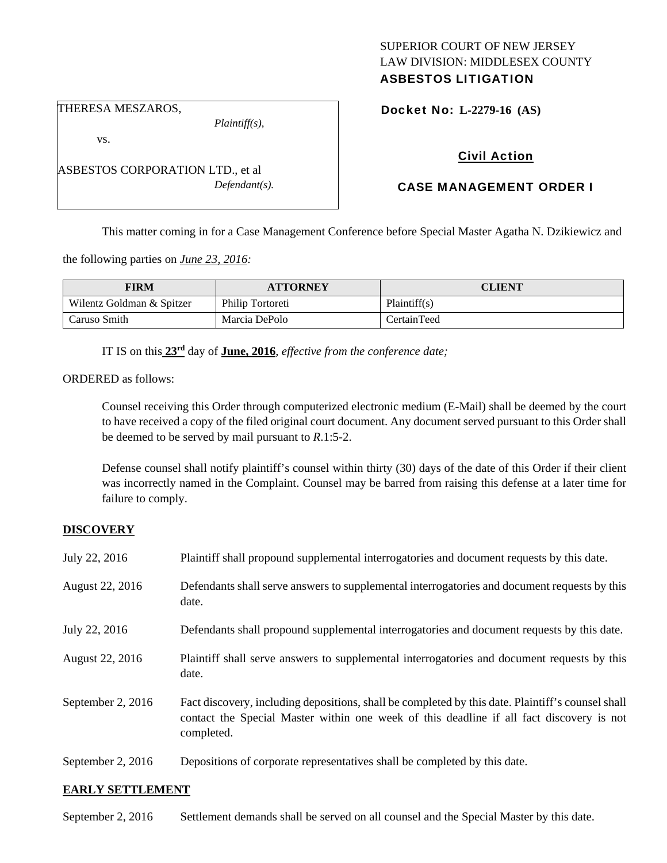## SUPERIOR COURT OF NEW JERSEY LAW DIVISION: MIDDLESEX COUNTY ASBESTOS LITIGATION

THERESA MESZAROS,

*Plaintiff(s),* 

Docket No: **L-2279-16 (AS)** 

vs.

ASBESTOS CORPORATION LTD., et al *Defendant(s).* 

# Civil Action

# CASE MANAGEMENT ORDER I

This matter coming in for a Case Management Conference before Special Master Agatha N. Dzikiewicz and

the following parties on *June 23, 2016:* 

| <b>FIRM</b>               | <b>ATTORNEY</b>  | CLIENT             |
|---------------------------|------------------|--------------------|
| Wilentz Goldman & Spitzer | Philip Tortoreti | Plaintiff(s)       |
| Caruso Smith              | Marcia DePolo    | <b>CertainTeed</b> |

IT IS on this **23rd** day of **June, 2016**, *effective from the conference date;*

ORDERED as follows:

Counsel receiving this Order through computerized electronic medium (E-Mail) shall be deemed by the court to have received a copy of the filed original court document. Any document served pursuant to this Order shall be deemed to be served by mail pursuant to *R*.1:5-2.

Defense counsel shall notify plaintiff's counsel within thirty (30) days of the date of this Order if their client was incorrectly named in the Complaint. Counsel may be barred from raising this defense at a later time for failure to comply.

## **DISCOVERY**

| July 22, 2016     | Plaintiff shall propound supplemental interrogatories and document requests by this date.                                                                                                                   |
|-------------------|-------------------------------------------------------------------------------------------------------------------------------------------------------------------------------------------------------------|
| August 22, 2016   | Defendants shall serve answers to supplemental interrogatories and document requests by this<br>date.                                                                                                       |
| July 22, 2016     | Defendants shall propound supplemental interrogatories and document requests by this date.                                                                                                                  |
| August 22, 2016   | Plaintiff shall serve answers to supplemental interrogatories and document requests by this<br>date.                                                                                                        |
| September 2, 2016 | Fact discovery, including depositions, shall be completed by this date. Plaintiff's counsel shall<br>contact the Special Master within one week of this deadline if all fact discovery is not<br>completed. |
| September 2, 2016 | Depositions of corporate representatives shall be completed by this date.                                                                                                                                   |

#### **EARLY SETTLEMENT**

September 2, 2016 Settlement demands shall be served on all counsel and the Special Master by this date.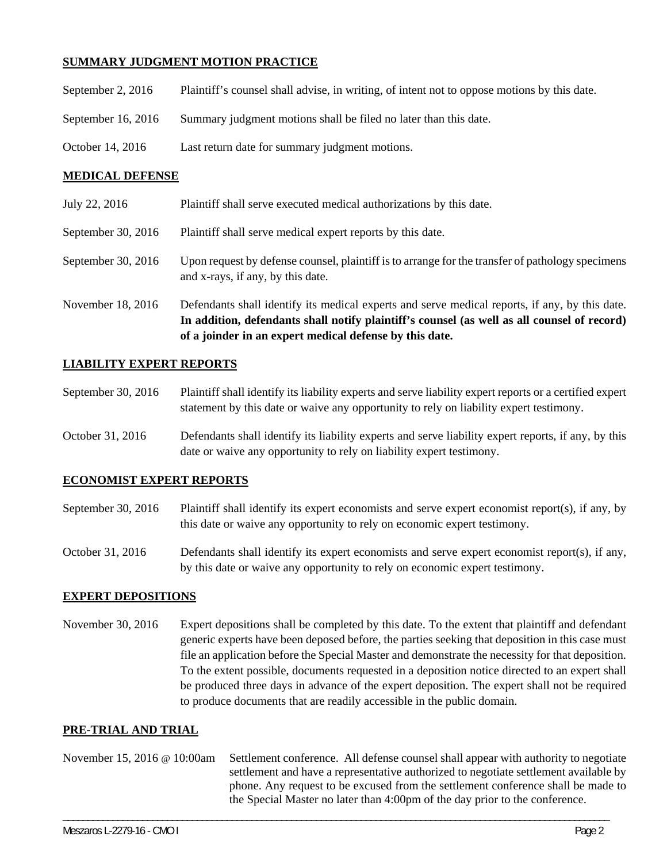## **SUMMARY JUDGMENT MOTION PRACTICE**

| September 2, $2016$ | Plaintiff's counsel shall advise, in writing, of intent not to oppose motions by this date. |
|---------------------|---------------------------------------------------------------------------------------------|
| September 16, 2016  | Summary judgment motions shall be filed no later than this date.                            |
| October 14, 2016    | Last return date for summary judgment motions.                                              |

### **MEDICAL DEFENSE**

|                    | In addition, defendants shall notify plaintiff's counsel (as well as all counsel of record)<br>of a joinder in an expert medical defense by this date. |
|--------------------|--------------------------------------------------------------------------------------------------------------------------------------------------------|
| November 18, 2016  | Defendants shall identify its medical experts and serve medical reports, if any, by this date.                                                         |
| September 30, 2016 | Upon request by defense counsel, plaintiff is to arrange for the transfer of pathology specimens<br>and x-rays, if any, by this date.                  |
| September 30, 2016 | Plaintiff shall serve medical expert reports by this date.                                                                                             |
| July 22, 2016      | Plaintiff shall serve executed medical authorizations by this date.                                                                                    |

### **LIABILITY EXPERT REPORTS**

| September 30, 2016 | Plaintiff shall identify its liability experts and serve liability expert reports or a certified expert |
|--------------------|---------------------------------------------------------------------------------------------------------|
|                    | statement by this date or waive any opportunity to rely on liability expert testimony.                  |
|                    |                                                                                                         |

October 31, 2016 Defendants shall identify its liability experts and serve liability expert reports, if any, by this date or waive any opportunity to rely on liability expert testimony.

## **ECONOMIST EXPERT REPORTS**

- September 30, 2016 Plaintiff shall identify its expert economists and serve expert economist report(s), if any, by this date or waive any opportunity to rely on economic expert testimony.
- October 31, 2016 Defendants shall identify its expert economists and serve expert economist report(s), if any, by this date or waive any opportunity to rely on economic expert testimony.

## **EXPERT DEPOSITIONS**

November 30, 2016 Expert depositions shall be completed by this date. To the extent that plaintiff and defendant generic experts have been deposed before, the parties seeking that deposition in this case must file an application before the Special Master and demonstrate the necessity for that deposition. To the extent possible, documents requested in a deposition notice directed to an expert shall be produced three days in advance of the expert deposition. The expert shall not be required to produce documents that are readily accessible in the public domain.

#### **PRE-TRIAL AND TRIAL**

|  | November 15, 2016 @ 10:00am Settlement conference. All defense counsel shall appear with authority to negotiate<br>settlement and have a representative authorized to negotiate settlement available by<br>phone. Any request to be excused from the settlement conference shall be made to<br>the Special Master no later than 4:00pm of the day prior to the conference. |
|--|----------------------------------------------------------------------------------------------------------------------------------------------------------------------------------------------------------------------------------------------------------------------------------------------------------------------------------------------------------------------------|
|--|----------------------------------------------------------------------------------------------------------------------------------------------------------------------------------------------------------------------------------------------------------------------------------------------------------------------------------------------------------------------------|